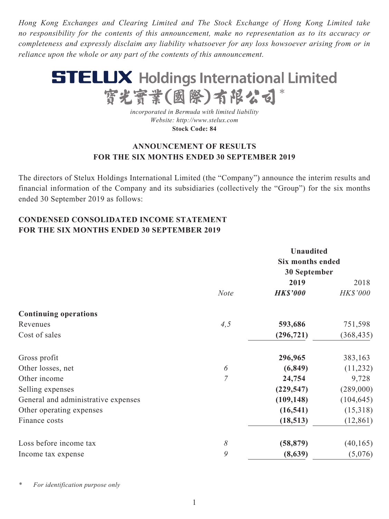*Hong Kong Exchanges and Clearing Limited and The Stock Exchange of Hong Kong Limited take no responsibility for the contents of this announcement, make no representation as to its accuracy or completeness and expressly disclaim any liability whatsoever for any loss howsoever arising from or in reliance upon the whole or any part of the contents of this announcement.*



*incorporated in Bermuda with limited liability Website: http://www.stelux.com* **Stock Code: 84**

# **ANNOUNCEMENT OF RESULTS FOR THE SIX MONTHS ENDED 30 SEPTEMBER 2019**

The directors of Stelux Holdings International Limited (the "Company") announce the interim results and financial information of the Company and its subsidiaries (collectively the "Group") for the six months ended 30 September 2019 as follows:

# **CONDENSED CONSOLIDATED INCOME STATEMENT FOR THE SIX MONTHS ENDED 30 SEPTEMBER 2019**

|                                     |                | <b>Unaudited</b> |                 |  |  |
|-------------------------------------|----------------|------------------|-----------------|--|--|
|                                     |                | Six months ended |                 |  |  |
|                                     |                | 30 September     |                 |  |  |
|                                     |                | 2019             | 2018            |  |  |
|                                     | <b>Note</b>    | <b>HK\$'000</b>  | <b>HK\$'000</b> |  |  |
| <b>Continuing operations</b>        |                |                  |                 |  |  |
| Revenues                            | 4, 5           | 593,686          | 751,598         |  |  |
| Cost of sales                       |                | (296, 721)       | (368, 435)      |  |  |
| Gross profit                        |                | 296,965          | 383,163         |  |  |
| Other losses, net                   | 6              | (6, 849)         | (11,232)        |  |  |
| Other income                        | $\overline{7}$ | 24,754           | 9,728           |  |  |
| Selling expenses                    |                | (229, 547)       | (289,000)       |  |  |
| General and administrative expenses |                | (109, 148)       | (104, 645)      |  |  |
| Other operating expenses            |                | (16, 541)        | (15,318)        |  |  |
| Finance costs                       |                | (18, 513)        | (12, 861)       |  |  |
| Loss before income tax              | $\delta$       | (58, 879)        | (40, 165)       |  |  |
| Income tax expense                  | 9              | (8,639)          | (5,076)         |  |  |

*\* For identification purpose only*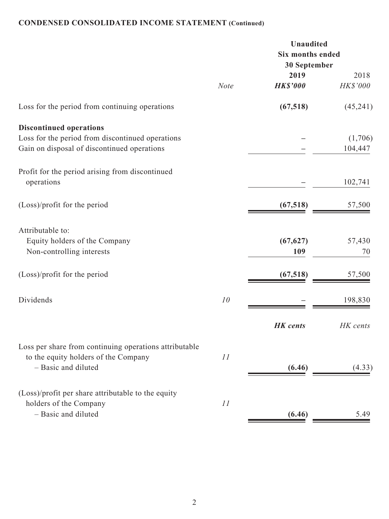# **CONDENSED CONSOLIDATED INCOME STATEMENT (Continued)**

|                                                                                                                                   |             | Unaudited<br>Six months ended<br>30 September |                    |
|-----------------------------------------------------------------------------------------------------------------------------------|-------------|-----------------------------------------------|--------------------|
|                                                                                                                                   | <b>Note</b> | 2019<br><b>HK\$'000</b>                       | 2018<br>HK\$'000   |
| Loss for the period from continuing operations                                                                                    |             | (67, 518)                                     | (45,241)           |
| <b>Discontinued operations</b><br>Loss for the period from discontinued operations<br>Gain on disposal of discontinued operations |             |                                               | (1,706)<br>104,447 |
| Profit for the period arising from discontinued<br>operations                                                                     |             |                                               | 102,741            |
| (Loss)/profit for the period                                                                                                      |             | (67, 518)                                     | 57,500             |
| Attributable to:<br>Equity holders of the Company<br>Non-controlling interests                                                    |             | (67, 627)<br>109                              | 57,430<br>70       |
| (Loss)/profit for the period                                                                                                      |             | (67, 518)                                     | 57,500             |
| Dividends                                                                                                                         | 10          |                                               | 198,830            |
|                                                                                                                                   |             | <b>HK</b> cents                               | HK cents           |
| Loss per share from continuing operations attributable<br>to the equity holders of the Company<br>- Basic and diluted             | 11          | (6.46)                                        | (4.33)             |
| (Loss)/profit per share attributable to the equity<br>holders of the Company<br>- Basic and diluted                               | 11          | (6.46)                                        | 5.49               |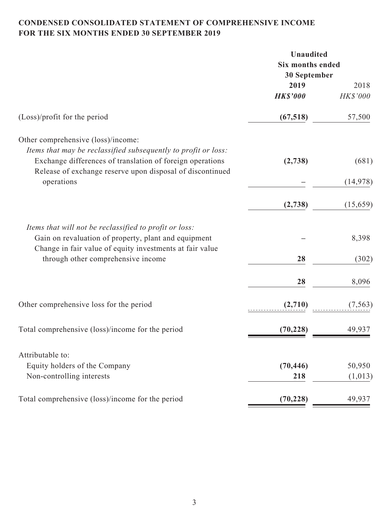# **CONDENSED CONSOLIDATED STATEMENT OF COMPREHENSIVE INCOME FOR THE SIX MONTHS ENDED 30 SEPTEMBER 2019**

|                                                                | Unaudited        |           |  |  |
|----------------------------------------------------------------|------------------|-----------|--|--|
|                                                                | Six months ended |           |  |  |
|                                                                | 30 September     |           |  |  |
|                                                                | 2019             | 2018      |  |  |
|                                                                | <b>HK\$'000</b>  | HK\$'000  |  |  |
| $(Loss)/profit$ for the period                                 | (67, 518)        | 57,500    |  |  |
| Other comprehensive (loss)/income:                             |                  |           |  |  |
| Items that may be reclassified subsequently to profit or loss: |                  |           |  |  |
| Exchange differences of translation of foreign operations      | (2,738)          | (681)     |  |  |
| Release of exchange reserve upon disposal of discontinued      |                  |           |  |  |
| operations                                                     |                  | (14, 978) |  |  |
|                                                                | (2,738)          | (15, 659) |  |  |
|                                                                |                  |           |  |  |
| Items that will not be reclassified to profit or loss:         |                  |           |  |  |
| Gain on revaluation of property, plant and equipment           |                  | 8,398     |  |  |
| Change in fair value of equity investments at fair value       |                  |           |  |  |
| through other comprehensive income                             | 28               | (302)     |  |  |
|                                                                | 28               | 8,096     |  |  |
| Other comprehensive loss for the period                        | (2,710)          | (7, 563)  |  |  |
|                                                                |                  |           |  |  |
| Total comprehensive (loss)/income for the period               | (70, 228)        | 49,937    |  |  |
| Attributable to:                                               |                  |           |  |  |
| Equity holders of the Company                                  | (70, 446)        | 50,950    |  |  |
| Non-controlling interests                                      | 218              | (1,013)   |  |  |
|                                                                |                  |           |  |  |
| Total comprehensive (loss)/income for the period               | (70, 228)        | 49,937    |  |  |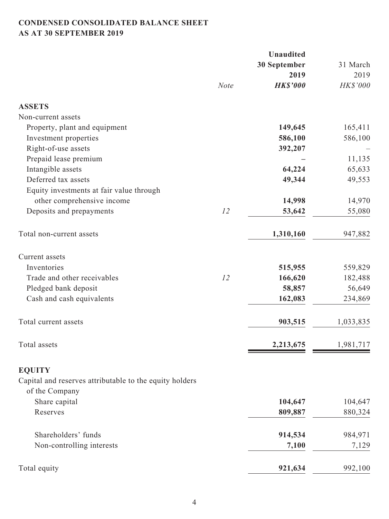# **CONDENSED CONSOLIDATED BALANCE SHEET AS AT 30 SEPTEMBER 2019**

|                                                         |             | <b>Unaudited</b> |           |
|---------------------------------------------------------|-------------|------------------|-----------|
|                                                         |             | 30 September     | 31 March  |
|                                                         |             | 2019             | 2019      |
|                                                         | <b>Note</b> | <b>HK\$'000</b>  | HK\$'000  |
| <b>ASSETS</b>                                           |             |                  |           |
| Non-current assets                                      |             |                  |           |
| Property, plant and equipment                           |             | 149,645          | 165,411   |
| Investment properties                                   |             | 586,100          | 586,100   |
| Right-of-use assets                                     |             | 392,207          |           |
| Prepaid lease premium                                   |             |                  | 11,135    |
| Intangible assets                                       |             | 64,224           | 65,633    |
| Deferred tax assets                                     |             | 49,344           | 49,553    |
| Equity investments at fair value through                |             |                  |           |
| other comprehensive income                              |             | 14,998           | 14,970    |
| Deposits and prepayments                                | 12          | 53,642           | 55,080    |
| Total non-current assets                                |             | 1,310,160        | 947,882   |
| Current assets                                          |             |                  |           |
| Inventories                                             |             | 515,955          | 559,829   |
| Trade and other receivables                             | 12          | 166,620          | 182,488   |
| Pledged bank deposit                                    |             | 58,857           | 56,649    |
| Cash and cash equivalents                               |             | 162,083          | 234,869   |
| Total current assets                                    |             | 903,515          | 1,033,835 |
| Total assets                                            |             | 2,213,675        | 1,981,717 |
| <b>EQUITY</b>                                           |             |                  |           |
| Capital and reserves attributable to the equity holders |             |                  |           |
| of the Company                                          |             |                  |           |
| Share capital                                           |             | 104,647          | 104,647   |
| Reserves                                                |             | 809,887          | 880,324   |
| Shareholders' funds                                     |             | 914,534          | 984,971   |
| Non-controlling interests                               |             | 7,100            | 7,129     |
| Total equity                                            |             | 921,634          | 992,100   |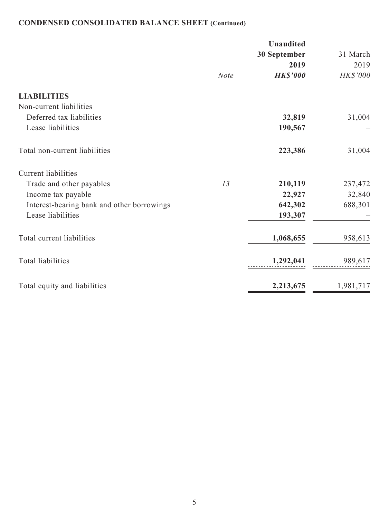# **CONDENSED CONSOLIDATED BALANCE SHEET (Continued)**

|                                            |             | <b>Unaudited</b> |           |
|--------------------------------------------|-------------|------------------|-----------|
|                                            |             | 30 September     | 31 March  |
|                                            |             | 2019             | 2019      |
|                                            | <b>Note</b> | <b>HK\$'000</b>  | HK\$'000  |
| <b>LIABILITIES</b>                         |             |                  |           |
| Non-current liabilities                    |             |                  |           |
| Deferred tax liabilities                   |             | 32,819           | 31,004    |
| Lease liabilities                          |             | 190,567          |           |
| Total non-current liabilities              |             | 223,386          | 31,004    |
| <b>Current liabilities</b>                 |             |                  |           |
| Trade and other payables                   | 13          | 210,119          | 237,472   |
| Income tax payable                         |             | 22,927           | 32,840    |
| Interest-bearing bank and other borrowings |             | 642,302          | 688,301   |
| Lease liabilities                          |             | 193,307          |           |
| Total current liabilities                  |             | 1,068,655        | 958,613   |
| <b>Total liabilities</b>                   |             | 1,292,041        | 989,617   |
| Total equity and liabilities               |             | 2,213,675        | 1,981,717 |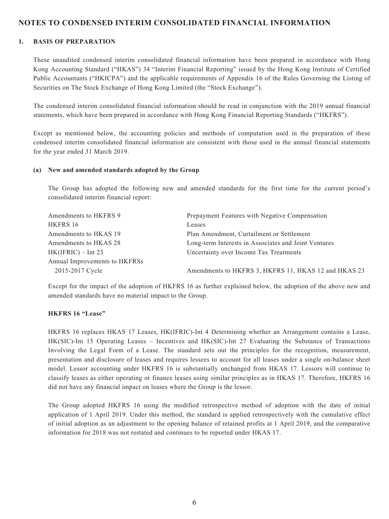## **NOTES TO CONDENSED INTERIM CONSOLIDATED FINANCIAL INFORMATION**

#### **1. BASIS OF PREPARATION**

These unaudited condensed interim consolidated financial information have been prepared in accordance with Hong Kong Accounting Standard ("HKAS") 34 "Interim Financial Reporting" issued by the Hong Kong Institute of Certified Public Accountants ("HKICPA") and the applicable requirements of Appendix 16 of the Rules Governing the Listing of Securities on The Stock Exchange of Hong Kong Limited (the "Stock Exchange").

The condensed interim consolidated financial information should be read in conjunction with the 2019 annual financial statements, which have been prepared in accordance with Hong Kong Financial Reporting Standards ("HKFRS").

Except as mentioned below, the accounting policies and methods of computation used in the preparation of these condensed interim consolidated financial information are consistent with those used in the annual financial statements for the year ended 31 March 2019.

#### **(a) New and amended standards adopted by the Group**

The Group has adopted the following new and amended standards for the first time for the current period's consolidated interim financial report:

| Amendments to HKFRS 9         | Prepayment Features with Negative Compensation       |
|-------------------------------|------------------------------------------------------|
| HKFRS 16                      | Leases                                               |
| Amendments to HKAS 19         | Plan Amendment, Curtailment or Settlement            |
| Amendments to HKAS 28         | Long-term Interests in Associates and Joint Ventures |
| $HK(IFRIC) - Int 23$          | Uncertainty over Income Tax Treatments               |
| Annual Improvements to HKFRSs |                                                      |
| 2015-2017 Cycle               | Amendments to HKFRS 3, HKFRS 11, HKAS 12 and HKAS 23 |

Except for the impact of the adoption of HKFRS 16 as further explained below, the adoption of the above new and amended standards have no material impact to the Group.

### **HKFRS 16 "Lease"**

HKFRS 16 replaces HKAS 17 Leases, HK(IFRIC)-Int 4 Determining whether an Arrangement contains a Lease, HK(SIC)-Int 15 Operating Leases – Incentives and HK(SIC)-Int 27 Evaluating the Substance of Transactions Involving the Legal Form of a Lease. The standard sets out the principles for the recognition, measurement, presentation and disclosure of leases and requires lessees to account for all leases under a single on-balance sheet model. Lessor accounting under HKFRS 16 is substantially unchanged from HKAS 17. Lessors will continue to classify leases as either operating or finance leases using similar principles as in HKAS 17. Therefore, HKFRS 16 did not have any financial impact on leases where the Group is the lessor.

The Group adopted HKFRS 16 using the modified retrospective method of adoption with the date of initial application of 1 April 2019. Under this method, the standard is applied retrospectively with the cumulative effect of initial adoption as an adjustment to the opening balance of retained profits at 1 April 2019, and the comparative information for 2018 was not restated and continues to be reported under HKAS 17.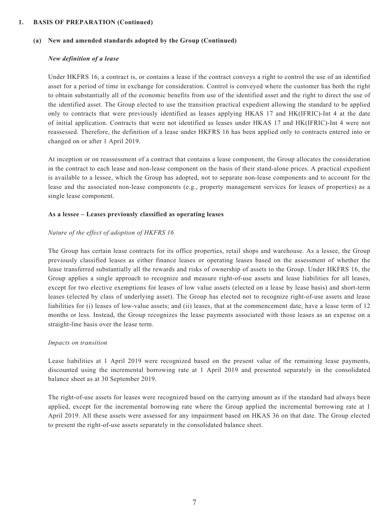#### **(a) New and amended standards adopted by the Group (Continued)**

#### *New definition of a lease*

Under HKFRS 16, a contract is, or contains a lease if the contract conveys a right to control the use of an identified asset for a period of time in exchange for consideration. Control is conveyed where the customer has both the right to obtain substantially all of the economic benefits from use of the identified asset and the right to direct the use of the identified asset. The Group elected to use the transition practical expedient allowing the standard to be applied only to contracts that were previously identified as leases applying HKAS 17 and HK(IFRIC)-Int 4 at the date of initial application. Contracts that were not identified as leases under HKAS 17 and HK(IFRIC)-Int 4 were not reassessed. Therefore, the definition of a lease under HKFRS 16 has been applied only to contracts entered into or changed on or after 1 April 2019.

At inception or on reassessment of a contract that contains a lease component, the Group allocates the consideration in the contract to each lease and non-lease component on the basis of their stand-alone prices. A practical expedient is available to a lessee, which the Group has adopted, not to separate non-lease components and to account for the lease and the associated non-lease components (e.g., property management services for leases of properties) as a single lease component.

#### **As a lessee – Leases previously classified as operating leases**

#### *Nature of the effect of adoption of HKFRS 16*

The Group has certain lease contracts for its office properties, retail shops and warehouse. As a lessee, the Group previously classified leases as either finance leases or operating leases based on the assessment of whether the lease transferred substantially all the rewards and risks of ownership of assets to the Group. Under HKFRS 16, the Group applies a single approach to recognize and measure right-of-use assets and lease liabilities for all leases, except for two elective exemptions for leases of low value assets (elected on a lease by lease basis) and short-term leases (elected by class of underlying asset). The Group has elected not to recognize right-of-use assets and lease liabilities for (i) leases of low-value assets; and (ii) leases, that at the commencement date, have a lease term of 12 months or less. Instead, the Group recognizes the lease payments associated with those leases as an expense on a straight-line basis over the lease term.

#### *Impacts on transition*

Lease liabilities at 1 April 2019 were recognized based on the present value of the remaining lease payments, discounted using the incremental borrowing rate at 1 April 2019 and presented separately in the consolidated balance sheet as at 30 September 2019.

The right-of-use assets for leases were recognized based on the carrying amount as if the standard had always been applied, except for the incremental borrowing rate where the Group applied the incremental borrowing rate at 1 April 2019. All these assets were assessed for any impairment based on HKAS 36 on that date. The Group elected to present the right-of-use assets separately in the consolidated balance sheet.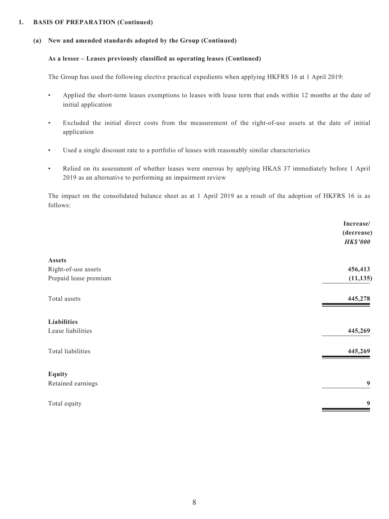## **(a) New and amended standards adopted by the Group (Continued)**

## **As a lessee – Leases previously classified as operating leases (Continued)**

The Group has used the following elective practical expedients when applying HKFRS 16 at 1 April 2019:

- Applied the short-term leases exemptions to leases with lease term that ends within 12 months at the date of initial application
- Excluded the initial direct costs from the measurement of the right-of-use assets at the date of initial application
- Used a single discount rate to a portfolio of leases with reasonably similar characteristics
- Relied on its assessment of whether leases were onerous by applying HKAS 37 immediately before 1 April 2019 as an alternative to performing an impairment review

The impact on the consolidated balance sheet as at 1 April 2019 as a result of the adoption of HKFRS 16 is as follows:

|                       | Increase/                     |
|-----------------------|-------------------------------|
|                       | (decrease)<br><b>HK\$'000</b> |
| Assets                |                               |
| Right-of-use assets   | 456,413                       |
| Prepaid lease premium | (11, 135)                     |
| Total assets          | 445,278                       |
| Liabilities           |                               |
| Lease liabilities     | 445,269                       |
| Total liabilities     | 445,269                       |
| <b>Equity</b>         |                               |
| Retained earnings     | $\boldsymbol{9}$              |
| Total equity          | 9                             |
|                       |                               |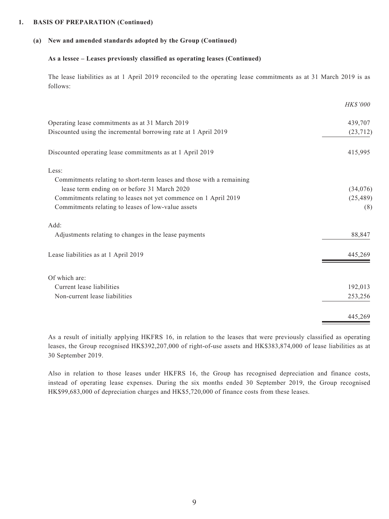### **(a) New and amended standards adopted by the Group (Continued)**

#### **As a lessee – Leases previously classified as operating leases (Continued)**

The lease liabilities as at 1 April 2019 reconciled to the operating lease commitments as at 31 March 2019 is as follows:

|                                                                      | HK\$'000  |
|----------------------------------------------------------------------|-----------|
| Operating lease commitments as at 31 March 2019                      | 439,707   |
| Discounted using the incremental borrowing rate at 1 April 2019      | (23, 712) |
| Discounted operating lease commitments as at 1 April 2019            | 415,995   |
| Less:                                                                |           |
| Commitments relating to short-term leases and those with a remaining |           |
| lease term ending on or before 31 March 2020                         | (34,076)  |
| Commitments relating to leases not yet commence on 1 April 2019      | (25, 489) |
| Commitments relating to leases of low-value assets                   | (8)       |
| Add:                                                                 |           |
| Adjustments relating to changes in the lease payments                | 88,847    |
| Lease liabilities as at 1 April 2019                                 | 445,269   |
| Of which are:                                                        |           |
| Current lease liabilities                                            | 192,013   |
| Non-current lease liabilities                                        | 253,256   |
|                                                                      | 445,269   |

As a result of initially applying HKFRS 16, in relation to the leases that were previously classified as operating leases, the Group recognised HK\$392,207,000 of right-of-use assets and HK\$383,874,000 of lease liabilities as at 30 September 2019.

Also in relation to those leases under HKFRS 16, the Group has recognised depreciation and finance costs, instead of operating lease expenses. During the six months ended 30 September 2019, the Group recognised HK\$99,683,000 of depreciation charges and HK\$5,720,000 of finance costs from these leases.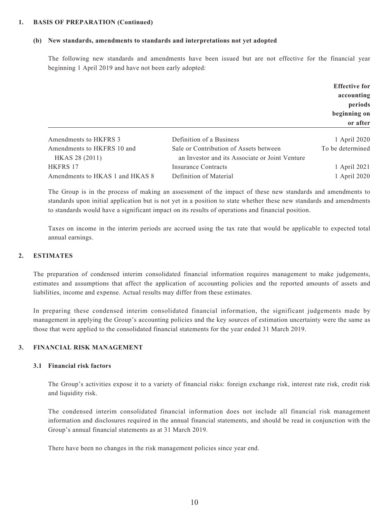#### **(b) New standards, amendments to standards and interpretations not yet adopted**

The following new standards and amendments have been issued but are not effective for the financial year beginning 1 April 2019 and have not been early adopted:

|                                 |                                                | <b>Effective for</b> |
|---------------------------------|------------------------------------------------|----------------------|
|                                 |                                                | accounting           |
|                                 |                                                | periods              |
|                                 |                                                | beginning on         |
|                                 |                                                | or after             |
| Amendments to HKFRS 3           | Definition of a Business                       | 1 April 2020         |
| Amendments to HKFRS 10 and      | Sale or Contribution of Assets between         | To be determined     |
| HKAS 28 (2011)                  | an Investor and its Associate or Joint Venture |                      |
| HKFRS 17                        | Insurance Contracts                            | 1 April 2021         |
| Amendments to HKAS 1 and HKAS 8 | Definition of Material                         | 1 April 2020         |

The Group is in the process of making an assessment of the impact of these new standards and amendments to standards upon initial application but is not yet in a position to state whether these new standards and amendments to standards would have a significant impact on its results of operations and financial position.

Taxes on income in the interim periods are accrued using the tax rate that would be applicable to expected total annual earnings.

### **2. ESTIMATES**

The preparation of condensed interim consolidated financial information requires management to make judgements, estimates and assumptions that affect the application of accounting policies and the reported amounts of assets and liabilities, income and expense. Actual results may differ from these estimates.

In preparing these condensed interim consolidated financial information, the significant judgements made by management in applying the Group's accounting policies and the key sources of estimation uncertainty were the same as those that were applied to the consolidated financial statements for the year ended 31 March 2019.

## **3. FINANCIAL RISK MANAGEMENT**

#### **3.1 Financial risk factors**

The Group's activities expose it to a variety of financial risks: foreign exchange risk, interest rate risk, credit risk and liquidity risk.

The condensed interim consolidated financial information does not include all financial risk management information and disclosures required in the annual financial statements, and should be read in conjunction with the Group's annual financial statements as at 31 March 2019.

There have been no changes in the risk management policies since year end.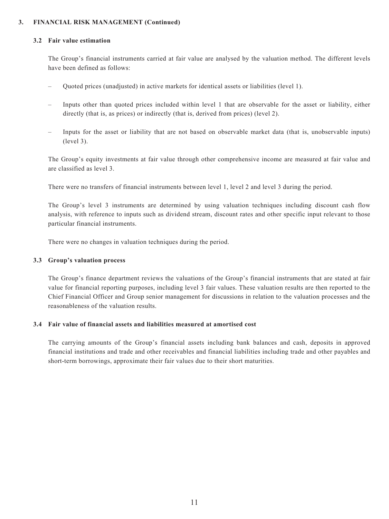### **3. FINANCIAL RISK MANAGEMENT (Continued)**

#### **3.2 Fair value estimation**

The Group's financial instruments carried at fair value are analysed by the valuation method. The different levels have been defined as follows:

- Quoted prices (unadjusted) in active markets for identical assets or liabilities (level 1).
- Inputs other than quoted prices included within level 1 that are observable for the asset or liability, either directly (that is, as prices) or indirectly (that is, derived from prices) (level 2).
- Inputs for the asset or liability that are not based on observable market data (that is, unobservable inputs) (level 3).

The Group's equity investments at fair value through other comprehensive income are measured at fair value and are classified as level 3.

There were no transfers of financial instruments between level 1, level 2 and level 3 during the period.

The Group's level 3 instruments are determined by using valuation techniques including discount cash flow analysis, with reference to inputs such as dividend stream, discount rates and other specific input relevant to those particular financial instruments.

There were no changes in valuation techniques during the period.

#### **3.3 Group's valuation process**

The Group's finance department reviews the valuations of the Group's financial instruments that are stated at fair value for financial reporting purposes, including level 3 fair values. These valuation results are then reported to the Chief Financial Officer and Group senior management for discussions in relation to the valuation processes and the reasonableness of the valuation results.

#### **3.4 Fair value of financial assets and liabilities measured at amortised cost**

The carrying amounts of the Group's financial assets including bank balances and cash, deposits in approved financial institutions and trade and other receivables and financial liabilities including trade and other payables and short-term borrowings, approximate their fair values due to their short maturities.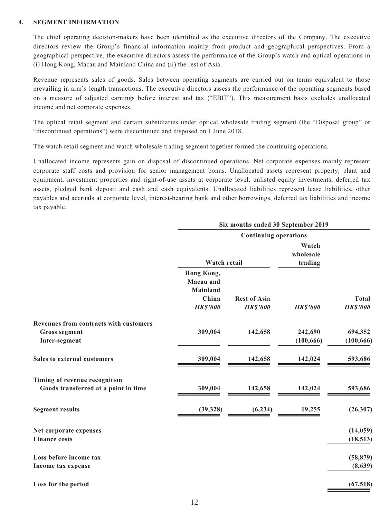### **4. SEGMENT INFORMATION**

The chief operating decision-makers have been identified as the executive directors of the Company. The executive directors review the Group's financial information mainly from product and geographical perspectives. From a geographical perspective, the executive directors assess the performance of the Group's watch and optical operations in (i) Hong Kong, Macau and Mainland China and (ii) the rest of Asia.

Revenue represents sales of goods. Sales between operating segments are carried out on terms equivalent to those prevailing in arm's length transactions. The executive directors assess the performance of the operating segments based on a measure of adjusted earnings before interest and tax ("EBIT"). This measurement basis excludes unallocated income and net corporate expenses.

The optical retail segment and certain subsidiaries under optical wholesale trading segment (the "Disposal group" or "discontinued operations") were discontinued and disposed on 1 June 2018.

The watch retail segment and watch wholesale trading segment together formed the continuing operations.

Unallocated income represents gain on disposal of discontinued operations. Net corporate expenses mainly represent corporate staff costs and provision for senior management bonus. Unallocated assets represent property, plant and equipment, investment properties and right-of-use assets at corporate level, unlisted equity investments, deferred tax assets, pledged bank deposit and cash and cash equivalents. Unallocated liabilities represent lease liabilities, other payables and accruals at corporate level, interest-bearing bank and other borrowings, deferred tax liabilities and income tax payable.

|                                        | Six months ended 30 September 2019 |                              |                    |                 |  |  |  |  |
|----------------------------------------|------------------------------------|------------------------------|--------------------|-----------------|--|--|--|--|
|                                        |                                    | <b>Continuing operations</b> |                    |                 |  |  |  |  |
|                                        |                                    |                              | Watch<br>wholesale |                 |  |  |  |  |
|                                        | Watch retail                       |                              | trading            |                 |  |  |  |  |
|                                        | Hong Kong,                         |                              |                    |                 |  |  |  |  |
|                                        | Macau and                          |                              |                    |                 |  |  |  |  |
|                                        | <b>Mainland</b>                    |                              |                    |                 |  |  |  |  |
|                                        | China                              | <b>Rest of Asia</b>          |                    | <b>Total</b>    |  |  |  |  |
|                                        | <b>HK\$'000</b>                    | <b>HK\$'000</b>              | <b>HK\$'000</b>    | <b>HK\$'000</b> |  |  |  |  |
| Revenues from contracts with customers |                                    |                              |                    |                 |  |  |  |  |
| <b>Gross segment</b>                   | 309,004                            | 142,658                      | 242,690            | 694,352         |  |  |  |  |
| Inter-segment                          |                                    |                              | (100, 666)         | (100, 666)      |  |  |  |  |
| Sales to external customers            | 309,004                            | 142,658                      | 142,024            | 593,686         |  |  |  |  |
| Timing of revenue recognition          |                                    |                              |                    |                 |  |  |  |  |
| Goods transferred at a point in time   | 309,004                            | 142,658                      | 142,024            | 593,686         |  |  |  |  |
| <b>Segment results</b>                 | (39, 328)                          | (6, 234)                     | 19,255             | (26, 307)       |  |  |  |  |
| Net corporate expenses                 |                                    |                              |                    | (14, 059)       |  |  |  |  |
| <b>Finance costs</b>                   |                                    |                              |                    | (18, 513)       |  |  |  |  |
| Loss before income tax                 |                                    |                              |                    | (58, 879)       |  |  |  |  |
| Income tax expense                     |                                    |                              |                    | (8,639)         |  |  |  |  |
| Loss for the period                    |                                    |                              |                    | (67, 518)       |  |  |  |  |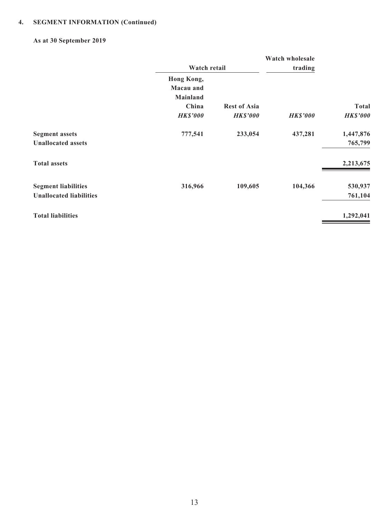# **4. SEGMENT INFORMATION (Continued)**

## **As at 30 September 2019**

|                                |                 |                     | Watch wholesale |                 |
|--------------------------------|-----------------|---------------------|-----------------|-----------------|
|                                | Watch retail    |                     | trading         |                 |
|                                | Hong Kong,      |                     |                 |                 |
|                                | Macau and       |                     |                 |                 |
|                                | <b>Mainland</b> |                     |                 |                 |
|                                | China           | <b>Rest of Asia</b> |                 | <b>Total</b>    |
|                                | <b>HK\$'000</b> | <b>HK\$'000</b>     | <b>HK\$'000</b> | <b>HK\$'000</b> |
| <b>Segment assets</b>          | 777,541         | 233,054             | 437,281         | 1,447,876       |
| <b>Unallocated assets</b>      |                 |                     |                 | 765,799         |
| <b>Total assets</b>            |                 |                     |                 | 2,213,675       |
| <b>Segment liabilities</b>     | 316,966         | 109,605             | 104,366         | 530,937         |
| <b>Unallocated liabilities</b> |                 |                     |                 | 761,104         |
| <b>Total liabilities</b>       |                 |                     |                 | 1,292,041       |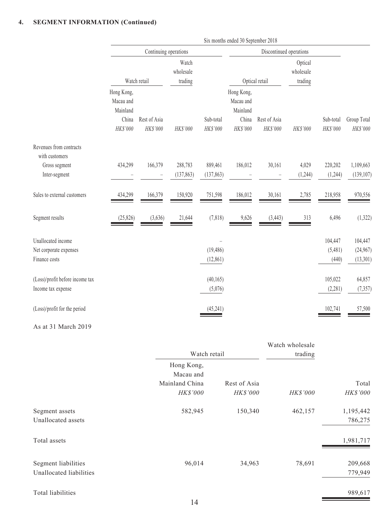## **4. SEGMENT INFORMATION (Continued)**

|                                                               | Six months ended 30 September 2018                       |                          |                               |                        |                                                          |                          |                                 |                             |                                 |
|---------------------------------------------------------------|----------------------------------------------------------|--------------------------|-------------------------------|------------------------|----------------------------------------------------------|--------------------------|---------------------------------|-----------------------------|---------------------------------|
|                                                               |                                                          | Continuing operations    |                               |                        |                                                          | Discontinued operations  |                                 |                             |                                 |
|                                                               |                                                          | Watch retail             | Watch<br>wholesale<br>trading |                        |                                                          | Optical retail           | Optical<br>wholesale<br>trading |                             |                                 |
|                                                               | Hong Kong,<br>Macau and<br>Mainland<br>China<br>HK\$'000 | Rest of Asia<br>HK\$'000 | HK\$'000                      | Sub-total<br>HK\$'000  | Hong Kong,<br>Macau and<br>Mainland<br>China<br>HK\$'000 | Rest of Asia<br>HK\$'000 | HK\$'000                        | Sub-total<br>HK\$'000       | Group Total<br>HK\$'000         |
| Revenues from contracts<br>with customers                     |                                                          |                          |                               |                        |                                                          |                          |                                 |                             |                                 |
| Gross segment<br>Inter-segment                                | 434,299                                                  | 166,379                  | 288,783<br>(137, 863)         | 889,461<br>(137, 863)  | 186,012                                                  | 30,161                   | 4,029<br>(1,244)                | 220,202<br>(1,244)          | 1,109,663<br>(139, 107)         |
| Sales to external customers                                   | 434,299                                                  | 166,379                  | 150,920                       | 751,598                | 186,012                                                  | 30,161                   | 2,785                           | 218,958                     | 970,556                         |
| Segment results                                               | (25, 826)                                                | (3,636)                  | 21,644                        | (7, 818)               | 9,626                                                    | (3, 443)                 | 313                             | 6,496                       | (1, 322)                        |
| Unallocated income<br>Net corporate expenses<br>Finance costs |                                                          |                          |                               | (19, 486)<br>(12, 861) |                                                          |                          |                                 | 104,447<br>(5,481)<br>(440) | 104,447<br>(24,967)<br>(13,301) |
| (Loss)/profit before income tax<br>Income tax expense         |                                                          |                          |                               | (40, 165)<br>(5,076)   |                                                          |                          |                                 | 105,022<br>(2, 281)         | 64,857<br>(7, 357)              |
| (Loss)/profit for the period                                  |                                                          |                          |                               | (45, 241)              |                                                          |                          |                                 | 102,741                     | 57,500                          |

#### As at 31 March 2019

|                         |                         |              | Watch wholesale |           |
|-------------------------|-------------------------|--------------|-----------------|-----------|
|                         | Watch retail            |              | trading         |           |
|                         | Hong Kong,<br>Macau and |              |                 |           |
|                         | Mainland China          | Rest of Asia |                 | Total     |
|                         | HK\$'000                | HK\$'000     | HK\$'000        | HK\$'000  |
| Segment assets          | 582,945                 | 150,340      | 462,157         | 1,195,442 |
| Unallocated assets      |                         |              |                 | 786,275   |
| Total assets            |                         |              |                 | 1,981,717 |
| Segment liabilities     | 96,014                  | 34,963       | 78,691          | 209,668   |
| Unallocated liabilities |                         |              |                 | 779,949   |
|                         |                         |              |                 |           |

Total liabilities 989,617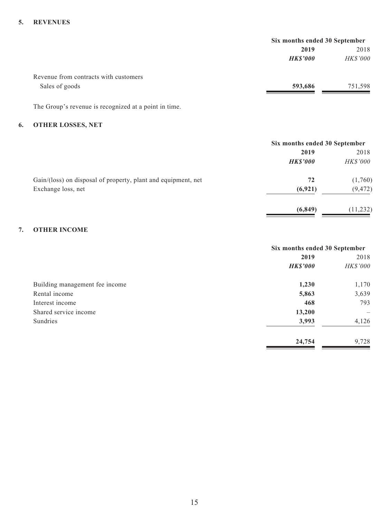### **5. REVENUES**

| 2019            | 2018            |
|-----------------|-----------------|
| <b>HK\$'000</b> | <b>HK\$'000</b> |
|                 |                 |
| 593,686         | 751,598         |
|                 |                 |

The Group's revenue is recognized at a point in time.

# **6. OTHER LOSSES, NET**

|                                                               | Six months ended 30 September |                 |
|---------------------------------------------------------------|-------------------------------|-----------------|
|                                                               | 2019                          | 2018            |
|                                                               | <b>HK\$'000</b>               | <i>HK\$'000</i> |
| Gain/(loss) on disposal of property, plant and equipment, net | 72                            | (1,760)         |
| Exchange loss, net                                            | (6, 921)                      | (9, 472)        |
|                                                               | (6, 849)                      | (11, 232)       |

## **7. OTHER INCOME**

|                                | Six months ended 30 September |                          |
|--------------------------------|-------------------------------|--------------------------|
|                                | 2019                          | 2018                     |
|                                | <b>HK\$'000</b>               | HK\$'000                 |
| Building management fee income | 1,230                         | 1,170                    |
| Rental income                  | 5,863                         | 3,639                    |
| Interest income                | 468                           | 793                      |
| Shared service income          | 13,200                        | $\overline{\phantom{m}}$ |
| Sundries                       | 3,993                         | 4,126                    |
|                                | 24,754                        | 9,728                    |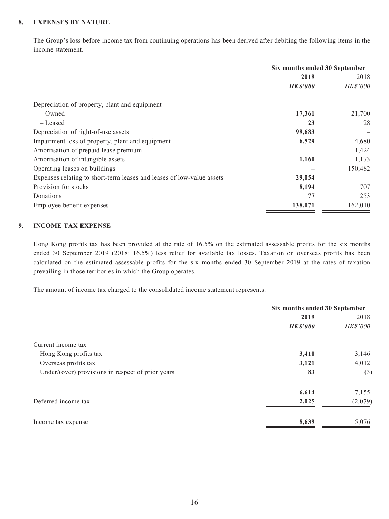## **8. EXPENSES BY NATURE**

The Group's loss before income tax from continuing operations has been derived after debiting the following items in the income statement.

|                                                                       | Six months ended 30 September |                |
|-----------------------------------------------------------------------|-------------------------------|----------------|
|                                                                       | 2019                          | 2018           |
|                                                                       | <b>HK\$'000</b>               | <b>HKS'000</b> |
| Depreciation of property, plant and equipment                         |                               |                |
| – Owned                                                               | 17,361                        | 21,700         |
| – Leased                                                              | 23                            | 28             |
| Depreciation of right-of-use assets                                   | 99,683                        |                |
| Impairment loss of property, plant and equipment                      | 6,529                         | 4,680          |
| Amortisation of prepaid lease premium                                 |                               | 1,424          |
| Amortisation of intangible assets                                     | 1,160                         | 1,173          |
| Operating leases on buildings                                         |                               | 150,482        |
| Expenses relating to short-term leases and leases of low-value assets | 29,054                        |                |
| Provision for stocks                                                  | 8,194                         | 707            |
| Donations                                                             | 77                            | 253            |
| Employee benefit expenses                                             | 138,071                       | 162,010        |

### **9. INCOME TAX EXPENSE**

Hong Kong profits tax has been provided at the rate of 16.5% on the estimated assessable profits for the six months ended 30 September 2019 (2018: 16.5%) less relief for available tax losses. Taxation on overseas profits has been calculated on the estimated assessable profits for the six months ended 30 September 2019 at the rates of taxation prevailing in those territories in which the Group operates.

The amount of income tax charged to the consolidated income statement represents:

|                                                   | Six months ended 30 September |          |
|---------------------------------------------------|-------------------------------|----------|
|                                                   | 2019                          | 2018     |
|                                                   | <b>HK\$'000</b>               | HK\$'000 |
| Current income tax                                |                               |          |
| Hong Kong profits tax                             | 3,410                         | 3,146    |
| Overseas profits tax                              | 3,121                         | 4,012    |
| Under/(over) provisions in respect of prior years | 83                            | (3)      |
|                                                   | 6,614                         | 7,155    |
| Deferred income tax                               | 2,025                         | (2,079)  |
| Income tax expense                                | 8,639                         | 5,076    |
|                                                   |                               |          |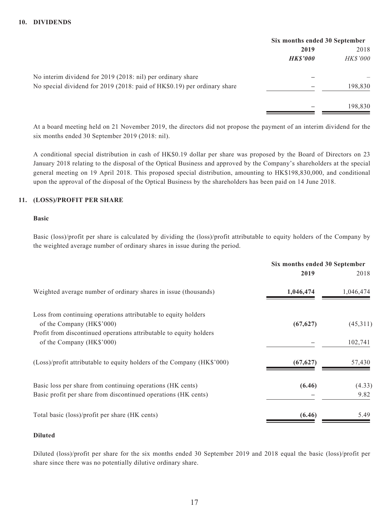|                                                                          | Six months ended 30 September |                 |
|--------------------------------------------------------------------------|-------------------------------|-----------------|
|                                                                          | 2019                          | 2018            |
|                                                                          | <b>HK\$'000</b>               | <b>HK\$'000</b> |
| No interim dividend for 2019 (2018: nil) per ordinary share              |                               |                 |
| No special dividend for 2019 (2018: paid of HK\$0.19) per ordinary share |                               | 198,830         |
|                                                                          |                               | 198,830         |

At a board meeting held on 21 November 2019, the directors did not propose the payment of an interim dividend for the six months ended 30 September 2019 (2018: nil).

A conditional special distribution in cash of HK\$0.19 dollar per share was proposed by the Board of Directors on 23 January 2018 relating to the disposal of the Optical Business and approved by the Company's shareholders at the special general meeting on 19 April 2018. This proposed special distribution, amounting to HK\$198,830,000, and conditional upon the approval of the disposal of the Optical Business by the shareholders has been paid on 14 June 2018.

## **11. (LOSS)/PROFIT PER SHARE**

#### **Basic**

Basic (loss)/profit per share is calculated by dividing the (loss)/profit attributable to equity holders of the Company by the weighted average number of ordinary shares in issue during the period.

| 2018      |
|-----------|
|           |
| 1,046,474 |
| (45,311)  |
|           |
| 102,741   |
| 57,430    |
| (4.33)    |
| 9.82      |
| 5.49      |
|           |

#### **Diluted**

Diluted (loss)/profit per share for the six months ended 30 September 2019 and 2018 equal the basic (loss)/profit per share since there was no potentially dilutive ordinary share.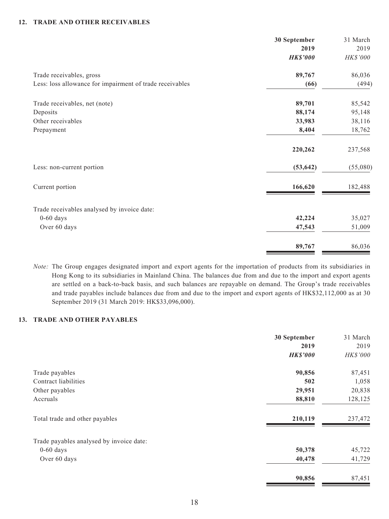### **12. TRADE AND OTHER RECEIVABLES**

|                                                          | 30 September            | 31 March         |
|----------------------------------------------------------|-------------------------|------------------|
|                                                          | 2019<br><b>HK\$'000</b> | 2019<br>HK\$'000 |
| Trade receivables, gross                                 | 89,767                  | 86,036           |
| Less: loss allowance for impairment of trade receivables | (66)                    | (494)            |
| Trade receivables, net (note)                            | 89,701                  | 85,542           |
| Deposits                                                 | 88,174                  | 95,148           |
| Other receivables                                        | 33,983                  | 38,116           |
| Prepayment                                               | 8,404                   | 18,762           |
|                                                          | 220,262                 | 237,568          |
| Less: non-current portion                                | (53, 642)               | (55,080)         |
| Current portion                                          | 166,620                 | 182,488          |
| Trade receivables analysed by invoice date:              |                         |                  |
| $0-60$ days                                              | 42,224                  | 35,027           |
| Over 60 days                                             | 47,543                  | 51,009           |
|                                                          | 89,767                  | 86,036           |

*Note:* The Group engages designated import and export agents for the importation of products from its subsidiaries in Hong Kong to its subsidiaries in Mainland China. The balances due from and due to the import and export agents are settled on a back-to-back basis, and such balances are repayable on demand. The Group's trade receivables and trade payables include balances due from and due to the import and export agents of HK\$32,112,000 as at 30 September 2019 (31 March 2019: HK\$33,096,000).

### **13. TRADE AND OTHER PAYABLES**

|                                          | 30 September    | 31 March |
|------------------------------------------|-----------------|----------|
|                                          | 2019            | 2019     |
|                                          | <b>HK\$'000</b> | HK\$'000 |
| Trade payables                           | 90,856          | 87,451   |
| Contract liabilities                     | 502             | 1,058    |
| Other payables                           | 29,951          | 20,838   |
| Accruals                                 | 88,810          | 128,125  |
| Total trade and other payables           | 210,119         | 237,472  |
| Trade payables analysed by invoice date: |                 |          |
| $0-60$ days                              | 50,378          | 45,722   |
| Over 60 days                             | 40,478          | 41,729   |
|                                          | 90,856          | 87,451   |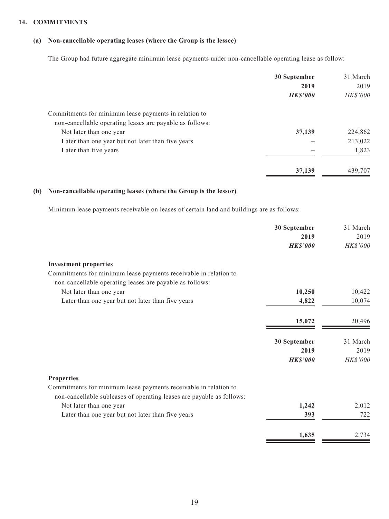### **14. COMMITMENTS**

## **(a) Non-cancellable operating leases (where the Group is the lessee)**

The Group had future aggregate minimum lease payments under non-cancellable operating lease as follow:

|                                                          | 30 September<br>2019<br><b>HK\$'000</b> | 31 March<br>2019<br><b>HK\$'000</b> |
|----------------------------------------------------------|-----------------------------------------|-------------------------------------|
| Commitments for minimum lease payments in relation to    |                                         |                                     |
| non-cancellable operating leases are payable as follows: |                                         |                                     |
| Not later than one year                                  | 37,139                                  | 224,862                             |
| Later than one year but not later than five years        |                                         | 213,022                             |
| Later than five years                                    |                                         | 1,823                               |
|                                                          | 37,139                                  | 439,707                             |

### **(b) Non-cancellable operating leases (where the Group is the lessor)**

Minimum lease payments receivable on leases of certain land and buildings are as follows:

|                                                                                                                              | 30 September    | 31 March        |
|------------------------------------------------------------------------------------------------------------------------------|-----------------|-----------------|
|                                                                                                                              | 2019            | 2019            |
|                                                                                                                              | <b>HK\$'000</b> | HK\$'000        |
| <b>Investment properties</b>                                                                                                 |                 |                 |
| Commitments for minimum lease payments receivable in relation to<br>non-cancellable operating leases are payable as follows: |                 |                 |
| Not later than one year                                                                                                      | 10,250          | 10,422          |
| Later than one year but not later than five years                                                                            | 4,822           | 10,074          |
|                                                                                                                              | 15,072          | 20,496          |
|                                                                                                                              | 30 September    | 31 March        |
|                                                                                                                              | 2019            | 2019            |
|                                                                                                                              | <b>HK\$'000</b> | <b>HK\$'000</b> |
| <b>Properties</b>                                                                                                            |                 |                 |
| Commitments for minimum lease payments receivable in relation to                                                             |                 |                 |
| non-cancellable subleases of operating leases are payable as follows:                                                        |                 |                 |
| Not later than one year                                                                                                      | 1,242           | 2,012           |
| Later than one year but not later than five years                                                                            | 393             | 722             |
|                                                                                                                              | 1,635           | 2,734           |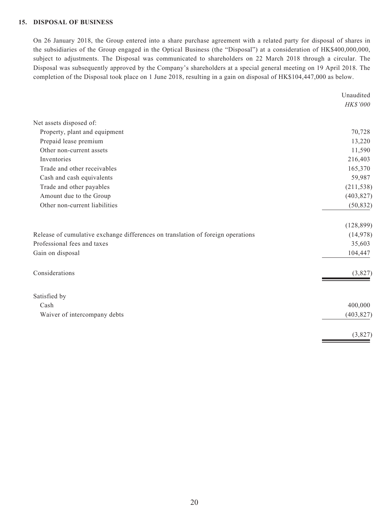## **15. DISPOSAL OF BUSINESS**

On 26 January 2018, the Group entered into a share purchase agreement with a related party for disposal of shares in the subsidiaries of the Group engaged in the Optical Business (the "Disposal") at a consideration of HK\$400,000,000, subject to adjustments. The Disposal was communicated to shareholders on 22 March 2018 through a circular. The Disposal was subsequently approved by the Company's shareholders at a special general meeting on 19 April 2018. The completion of the Disposal took place on 1 June 2018, resulting in a gain on disposal of HK\$104,447,000 as below.

|                                                                                 | Unaudited  |
|---------------------------------------------------------------------------------|------------|
|                                                                                 | HK\$'000   |
| Net assets disposed of:                                                         |            |
| Property, plant and equipment                                                   | 70,728     |
| Prepaid lease premium                                                           | 13,220     |
| Other non-current assets                                                        | 11,590     |
| Inventories                                                                     | 216,403    |
| Trade and other receivables                                                     | 165,370    |
| Cash and cash equivalents                                                       | 59,987     |
| Trade and other payables                                                        | (211, 538) |
| Amount due to the Group                                                         | (403, 827) |
| Other non-current liabilities                                                   | (50, 832)  |
|                                                                                 | (128, 899) |
| Release of cumulative exchange differences on translation of foreign operations | (14,978)   |
| Professional fees and taxes                                                     | 35,603     |
| Gain on disposal                                                                | 104,447    |
| Considerations                                                                  | (3,827)    |
| Satisfied by                                                                    |            |
| Cash                                                                            | 400,000    |
| Waiver of intercompany debts                                                    | (403, 827) |
|                                                                                 | (3,827)    |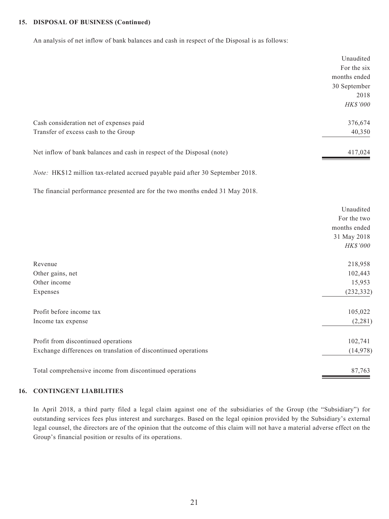### **15. DISPOSAL OF BUSINESS (Continued)**

An analysis of net inflow of bank balances and cash in respect of the Disposal is as follows:

|                                                                                | Unaudited<br>For the six |
|--------------------------------------------------------------------------------|--------------------------|
|                                                                                | months ended             |
|                                                                                | 30 September             |
|                                                                                | 2018                     |
|                                                                                | HK\$'000                 |
| Cash consideration net of expenses paid                                        | 376,674                  |
| Transfer of excess cash to the Group                                           | 40,350                   |
| Net inflow of bank balances and cash in respect of the Disposal (note)         | 417,024                  |
| Note: HK\$12 million tax-related accrued payable paid after 30 September 2018. |                          |
| The financial performance presented are for the two months ended 31 May 2018.  |                          |
|                                                                                | Unaudited                |
|                                                                                | For the two              |
|                                                                                | months ended             |
|                                                                                | 31 May 2018              |
|                                                                                | HK\$'000                 |
| Revenue                                                                        | 218,958                  |
| Other gains, net                                                               | 102,443                  |
| Other income                                                                   | 15,953                   |
| Expenses                                                                       | (232, 332)               |
| Profit before income tax                                                       | 105,022                  |
| Income tax expense                                                             | (2,281)                  |
| Profit from discontinued operations                                            | 102,741                  |
| Exchange differences on translation of discontinued operations                 | (14,978)                 |
| Total comprehensive income from discontinued operations                        | 87,763                   |

### **16. CONTINGENT LIABILITIES**

In April 2018, a third party filed a legal claim against one of the subsidiaries of the Group (the "Subsidiary") for outstanding services fees plus interest and surcharges. Based on the legal opinion provided by the Subsidiary's external legal counsel, the directors are of the opinion that the outcome of this claim will not have a material adverse effect on the Group's financial position or results of its operations.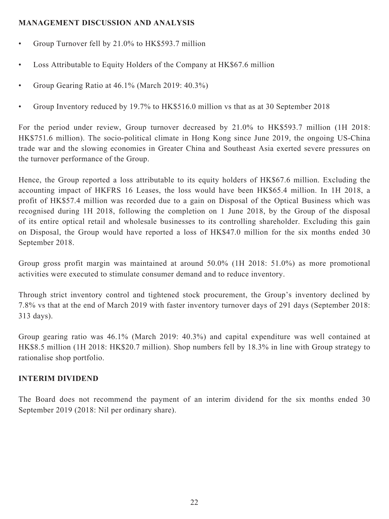# **MANAGEMENT DISCUSSION AND ANALYSIS**

- Group Turnover fell by 21.0% to HK\$593.7 million
- Loss Attributable to Equity Holders of the Company at HK\$67.6 million
- Group Gearing Ratio at 46.1% (March 2019: 40.3%)
- Group Inventory reduced by 19.7% to HK\$516.0 million vs that as at 30 September 2018

For the period under review, Group turnover decreased by 21.0% to HK\$593.7 million (1H 2018: HK\$751.6 million). The socio-political climate in Hong Kong since June 2019, the ongoing US-China trade war and the slowing economies in Greater China and Southeast Asia exerted severe pressures on the turnover performance of the Group.

Hence, the Group reported a loss attributable to its equity holders of HK\$67.6 million. Excluding the accounting impact of HKFRS 16 Leases, the loss would have been HK\$65.4 million. In 1H 2018, a profit of HK\$57.4 million was recorded due to a gain on Disposal of the Optical Business which was recognised during 1H 2018, following the completion on 1 June 2018, by the Group of the disposal of its entire optical retail and wholesale businesses to its controlling shareholder. Excluding this gain on Disposal, the Group would have reported a loss of HK\$47.0 million for the six months ended 30 September 2018.

Group gross profit margin was maintained at around 50.0% (1H 2018: 51.0%) as more promotional activities were executed to stimulate consumer demand and to reduce inventory.

Through strict inventory control and tightened stock procurement, the Group's inventory declined by 7.8% vs that at the end of March 2019 with faster inventory turnover days of 291 days (September 2018: 313 days).

Group gearing ratio was 46.1% (March 2019: 40.3%) and capital expenditure was well contained at HK\$8.5 million (1H 2018: HK\$20.7 million). Shop numbers fell by 18.3% in line with Group strategy to rationalise shop portfolio.

# **INTERIM DIVIDEND**

The Board does not recommend the payment of an interim dividend for the six months ended 30 September 2019 (2018: Nil per ordinary share).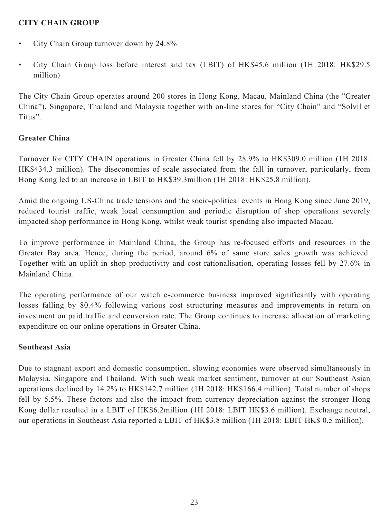# **CITY CHAIN GROUP**

- City Chain Group turnover down by 24.8%
- City Chain Group loss before interest and tax (LBIT) of HK\$45.6 million (1H 2018: HK\$29.5 million)

The City Chain Group operates around 200 stores in Hong Kong, Macau, Mainland China (the "Greater China"), Singapore, Thailand and Malaysia together with on-line stores for "City Chain" and "Solvil et Titus".

## **Greater China**

Turnover for CITY CHAIN operations in Greater China fell by 28.9% to HK\$309.0 million (1H 2018: HK\$434.3 million). The diseconomies of scale associated from the fall in turnover, particularly, from Hong Kong led to an increase in LBIT to HK\$39.3million (1H 2018: HK\$25.8 million).

Amid the ongoing US-China trade tensions and the socio-political events in Hong Kong since June 2019, reduced tourist traffic, weak local consumption and periodic disruption of shop operations severely impacted shop performance in Hong Kong, whilst weak tourist spending also impacted Macau.

To improve performance in Mainland China, the Group has re-focused efforts and resources in the Greater Bay area. Hence, during the period, around 6% of same store sales growth was achieved. Together with an uplift in shop productivity and cost rationalisation, operating losses fell by 27.6% in Mainland China.

The operating performance of our watch e-commerce business improved significantly with operating losses falling by 80.4% following various cost structuring measures and improvements in return on investment on paid traffic and conversion rate. The Group continues to increase allocation of marketing expenditure on our online operations in Greater China.

## **Southeast Asia**

Due to stagnant export and domestic consumption, slowing economies were observed simultaneously in Malaysia, Singapore and Thailand. With such weak market sentiment, turnover at our Southeast Asian operations declined by 14.2% to HK\$142.7 million (1H 2018: HK\$166.4 million). Total number of shops fell by 5.5%. These factors and also the impact from currency depreciation against the stronger Hong Kong dollar resulted in a LBIT of HK\$6.2million (1H 2018: LBIT HK\$3.6 million). Exchange neutral, our operations in Southeast Asia reported a LBIT of HK\$3.8 million (1H 2018: EBIT HK\$ 0.5 million).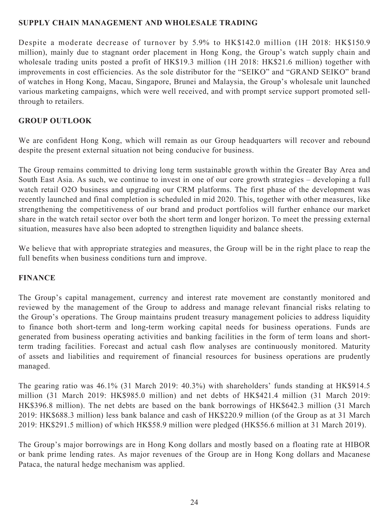# **SUPPLY CHAIN MANAGEMENT AND WHOLESALE TRADING**

Despite a moderate decrease of turnover by 5.9% to HK\$142.0 million (1H 2018: HK\$150.9 million), mainly due to stagnant order placement in Hong Kong, the Group's watch supply chain and wholesale trading units posted a profit of HK\$19.3 million (1H 2018: HK\$21.6 million) together with improvements in cost efficiencies. As the sole distributor for the "SEIKO" and "GRAND SEIKO" brand of watches in Hong Kong, Macau, Singapore, Brunei and Malaysia, the Group's wholesale unit launched various marketing campaigns, which were well received, and with prompt service support promoted sellthrough to retailers.

# **GROUP OUTLOOK**

We are confident Hong Kong, which will remain as our Group headquarters will recover and rebound despite the present external situation not being conducive for business.

The Group remains committed to driving long term sustainable growth within the Greater Bay Area and South East Asia. As such, we continue to invest in one of our core growth strategies – developing a full watch retail O2O business and upgrading our CRM platforms. The first phase of the development was recently launched and final completion is scheduled in mid 2020. This, together with other measures, like strengthening the competitiveness of our brand and product portfolios will further enhance our market share in the watch retail sector over both the short term and longer horizon. To meet the pressing external situation, measures have also been adopted to strengthen liquidity and balance sheets.

We believe that with appropriate strategies and measures, the Group will be in the right place to reap the full benefits when business conditions turn and improve.

## **FINANCE**

The Group's capital management, currency and interest rate movement are constantly monitored and reviewed by the management of the Group to address and manage relevant financial risks relating to the Group's operations. The Group maintains prudent treasury management policies to address liquidity to finance both short-term and long-term working capital needs for business operations. Funds are generated from business operating activities and banking facilities in the form of term loans and shortterm trading facilities. Forecast and actual cash flow analyses are continuously monitored. Maturity of assets and liabilities and requirement of financial resources for business operations are prudently managed.

The gearing ratio was 46.1% (31 March 2019: 40.3%) with shareholders' funds standing at HK\$914.5 million (31 March 2019: HK\$985.0 million) and net debts of HK\$421.4 million (31 March 2019: HK\$396.8 million). The net debts are based on the bank borrowings of HK\$642.3 million (31 March 2019: HK\$688.3 million) less bank balance and cash of HK\$220.9 million (of the Group as at 31 March 2019: HK\$291.5 million) of which HK\$58.9 million were pledged (HK\$56.6 million at 31 March 2019).

The Group's major borrowings are in Hong Kong dollars and mostly based on a floating rate at HIBOR or bank prime lending rates. As major revenues of the Group are in Hong Kong dollars and Macanese Pataca, the natural hedge mechanism was applied.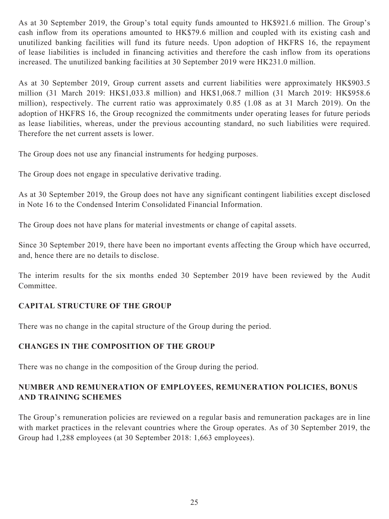As at 30 September 2019, the Group's total equity funds amounted to HK\$921.6 million. The Group's cash inflow from its operations amounted to HK\$79.6 million and coupled with its existing cash and unutilized banking facilities will fund its future needs. Upon adoption of HKFRS 16, the repayment of lease liabilities is included in financing activities and therefore the cash inflow from its operations increased. The unutilized banking facilities at 30 September 2019 were HK231.0 million.

As at 30 September 2019, Group current assets and current liabilities were approximately HK\$903.5 million (31 March 2019: HK\$1,033.8 million) and HK\$1,068.7 million (31 March 2019: HK\$958.6 million), respectively. The current ratio was approximately 0.85 (1.08 as at 31 March 2019). On the adoption of HKFRS 16, the Group recognized the commitments under operating leases for future periods as lease liabilities, whereas, under the previous accounting standard, no such liabilities were required. Therefore the net current assets is lower.

The Group does not use any financial instruments for hedging purposes.

The Group does not engage in speculative derivative trading.

As at 30 September 2019, the Group does not have any significant contingent liabilities except disclosed in Note 16 to the Condensed Interim Consolidated Financial Information.

The Group does not have plans for material investments or change of capital assets.

Since 30 September 2019, there have been no important events affecting the Group which have occurred, and, hence there are no details to disclose.

The interim results for the six months ended 30 September 2019 have been reviewed by the Audit Committee.

# **CAPITAL STRUCTURE OF THE GROUP**

There was no change in the capital structure of the Group during the period.

# **CHANGES IN THE COMPOSITION OF THE GROUP**

There was no change in the composition of the Group during the period.

# **NUMBER AND REMUNERATION OF EMPLOYEES, REMUNERATION POLICIES, BONUS AND TRAINING SCHEMES**

The Group's remuneration policies are reviewed on a regular basis and remuneration packages are in line with market practices in the relevant countries where the Group operates. As of 30 September 2019, the Group had 1,288 employees (at 30 September 2018: 1,663 employees).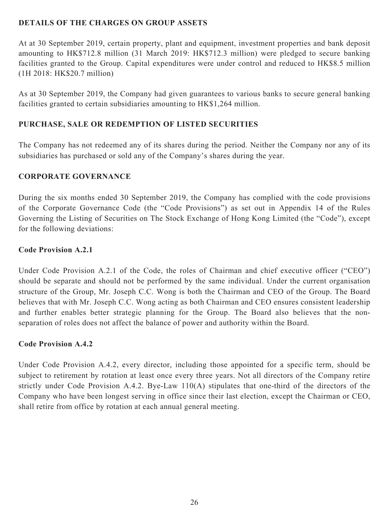# **DETAILS OF THE CHARGES ON GROUP ASSETS**

At at 30 September 2019, certain property, plant and equipment, investment properties and bank deposit amounting to HK\$712.8 million (31 March 2019: HK\$712.3 million) were pledged to secure banking facilities granted to the Group. Capital expenditures were under control and reduced to HK\$8.5 million (1H 2018: HK\$20.7 million)

As at 30 September 2019, the Company had given guarantees to various banks to secure general banking facilities granted to certain subsidiaries amounting to HK\$1,264 million.

# **PURCHASE, SALE OR REDEMPTION OF LISTED SECURITIES**

The Company has not redeemed any of its shares during the period. Neither the Company nor any of its subsidiaries has purchased or sold any of the Company's shares during the year.

## **CORPORATE GOVERNANCE**

During the six months ended 30 September 2019, the Company has complied with the code provisions of the Corporate Governance Code (the "Code Provisions") as set out in Appendix 14 of the Rules Governing the Listing of Securities on The Stock Exchange of Hong Kong Limited (the "Code"), except for the following deviations:

# **Code Provision A.2.1**

Under Code Provision A.2.1 of the Code, the roles of Chairman and chief executive officer ("CEO") should be separate and should not be performed by the same individual. Under the current organisation structure of the Group, Mr. Joseph C.C. Wong is both the Chairman and CEO of the Group. The Board believes that with Mr. Joseph C.C. Wong acting as both Chairman and CEO ensures consistent leadership and further enables better strategic planning for the Group. The Board also believes that the nonseparation of roles does not affect the balance of power and authority within the Board.

# **Code Provision A.4.2**

Under Code Provision A.4.2, every director, including those appointed for a specific term, should be subject to retirement by rotation at least once every three years. Not all directors of the Company retire strictly under Code Provision A.4.2. Bye-Law 110(A) stipulates that one-third of the directors of the Company who have been longest serving in office since their last election, except the Chairman or CEO, shall retire from office by rotation at each annual general meeting.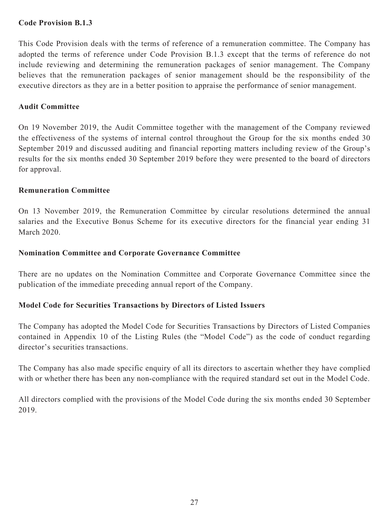## **Code Provision B.1.3**

This Code Provision deals with the terms of reference of a remuneration committee. The Company has adopted the terms of reference under Code Provision B.1.3 except that the terms of reference do not include reviewing and determining the remuneration packages of senior management. The Company believes that the remuneration packages of senior management should be the responsibility of the executive directors as they are in a better position to appraise the performance of senior management.

## **Audit Committee**

On 19 November 2019, the Audit Committee together with the management of the Company reviewed the effectiveness of the systems of internal control throughout the Group for the six months ended 30 September 2019 and discussed auditing and financial reporting matters including review of the Group's results for the six months ended 30 September 2019 before they were presented to the board of directors for approval.

## **Remuneration Committee**

On 13 November 2019, the Remuneration Committee by circular resolutions determined the annual salaries and the Executive Bonus Scheme for its executive directors for the financial year ending 31 March 2020.

## **Nomination Committee and Corporate Governance Committee**

There are no updates on the Nomination Committee and Corporate Governance Committee since the publication of the immediate preceding annual report of the Company.

## **Model Code for Securities Transactions by Directors of Listed Issuers**

The Company has adopted the Model Code for Securities Transactions by Directors of Listed Companies contained in Appendix 10 of the Listing Rules (the "Model Code") as the code of conduct regarding director's securities transactions.

The Company has also made specific enquiry of all its directors to ascertain whether they have complied with or whether there has been any non-compliance with the required standard set out in the Model Code.

All directors complied with the provisions of the Model Code during the six months ended 30 September 2019.